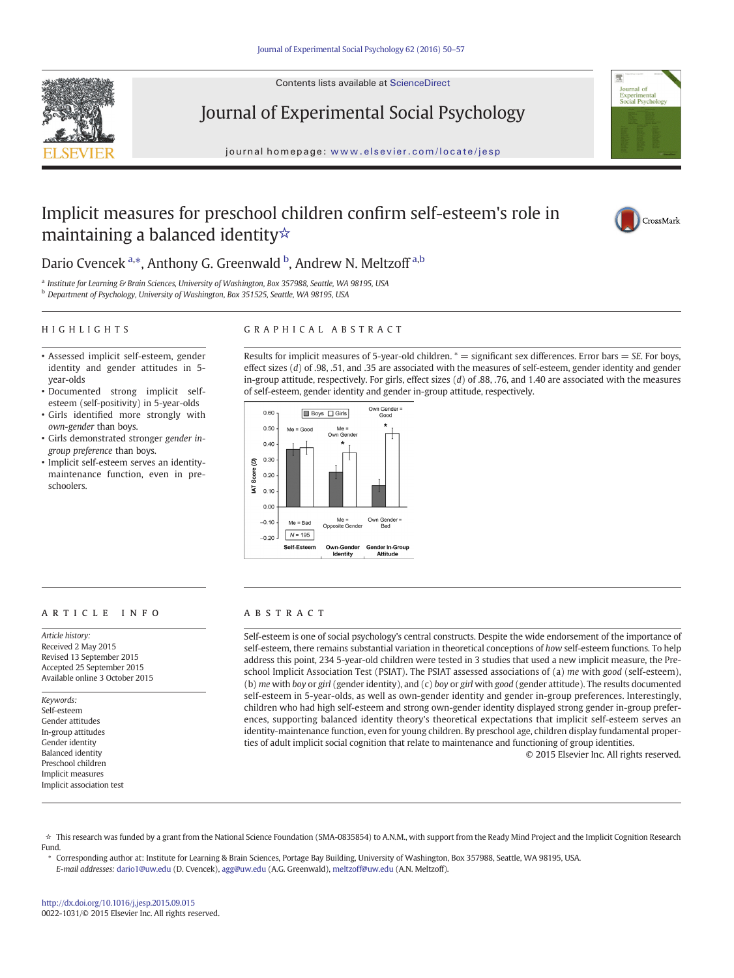

Contents lists available at ScienceDirect

Journal of Experimental Social Psychology

journal homepage: <www.elsevier.com/locate/jesp>



# Implicit measures for preschool children confirm self-esteem's role in maintaining a balanced identity☆



## Dario Cvencek<sup>a,\*</sup>, Anthony G. Greenwald <sup>b</sup>, Andrew N. Meltzoff<sup>a,b</sup>

a Institute for Learning & Brain Sciences, University of Washington, Box 357988, Seattle, WA 98195, USA

<sup>b</sup> Department of Psychology, University of Washington, Box 351525, Seattle, WA 98195, USA

#### HIGHLIGHTS

#### GRAPHICAL ABSTRACT

- Assessed implicit self-esteem, gender identity and gender attitudes in 5 year-olds
- Documented strong implicit selfesteem (self-positivity) in 5-year-olds
- Girls identified more strongly with own-gender than boys.
- Girls demonstrated stronger gender ingroup preference than boys.
- Implicit self-esteem serves an identitymaintenance function, even in preschoolers.

Results for implicit measures of 5-year-old children.  $* =$  significant sex differences. Error bars  $= SE$ . For boys, effect sizes (d) of .98, .51, and .35 are associated with the measures of self-esteem, gender identity and gender in-group attitude, respectively. For girls, effect sizes (d) of .88, .76, and 1.40 are associated with the measures of self-esteem, gender identity and gender in-group attitude, respectively.



#### article info abstract

Article history: Received 2 May 2015 Revised 13 September 2015 Accepted 25 September 2015 Available online 3 October 2015

Keywords: Self-esteem Gender attitudes In-group attitudes Gender identity Balanced identity Preschool children Implicit measures Implicit association test

Self-esteem is one of social psychology's central constructs. Despite the wide endorsement of the importance of self-esteem, there remains substantial variation in theoretical conceptions of how self-esteem functions. To help address this point, 234 5-year-old children were tested in 3 studies that used a new implicit measure, the Preschool Implicit Association Test (PSIAT). The PSIAT assessed associations of (a) me with good (self-esteem), (b) me with boy or girl (gender identity), and (c) boy or girl with good (gender attitude). The results documented self-esteem in 5-year-olds, as well as own-gender identity and gender in-group preferences. Interestingly, children who had high self-esteem and strong own-gender identity displayed strong gender in-group preferences, supporting balanced identity theory's theoretical expectations that implicit self-esteem serves an identity-maintenance function, even for young children. By preschool age, children display fundamental properties of adult implicit social cognition that relate to maintenance and functioning of group identities.

© 2015 Elsevier Inc. All rights reserved.

☆ This research was funded by a grant from the National Science Foundation (SMA-0835854) to A.N.M., with support from the Ready Mind Project and the Implicit Cognition Research Fund.

⁎ Corresponding author at: Institute for Learning & Brain Sciences, Portage Bay Building, University of Washington, Box 357988, Seattle, WA 98195, USA. E-mail addresses: dario1@uw.edu (D. Cvencek), [agg@uw.edu](mailto:agg@uw.edu) (A.G. Greenwald), [meltzoff@uw.edu](mailto:meltzoff@uw.edu) (A.N. Meltzoff).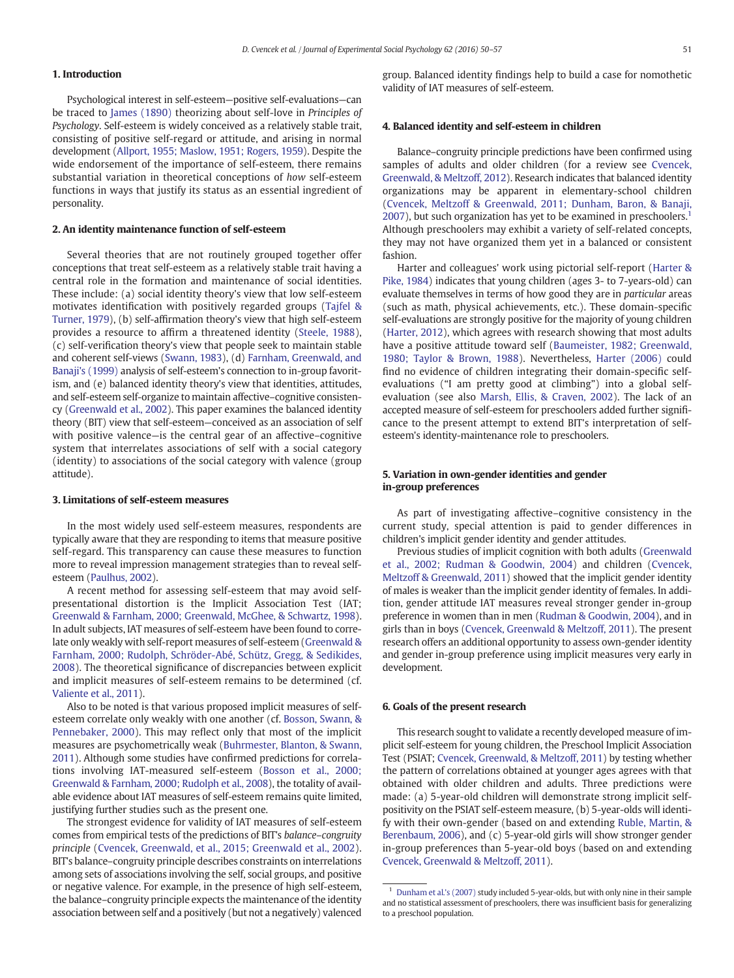#### 1. Introduction

Psychological interest in self-esteem—positive self-evaluations—can be traced to [James \(1890\)](#page-6-0) theorizing about self-love in Principles of Psychology. Self-esteem is widely conceived as a relatively stable trait, consisting of positive self-regard or attitude, and arising in normal development [\(Allport, 1955; Maslow, 1951; Rogers, 1959\)](#page-6-0). Despite the wide endorsement of the importance of self-esteem, there remains substantial variation in theoretical conceptions of how self-esteem functions in ways that justify its status as an essential ingredient of personality.

### 2. An identity maintenance function of self-esteem

Several theories that are not routinely grouped together offer conceptions that treat self-esteem as a relatively stable trait having a central role in the formation and maintenance of social identities. These include: (a) social identity theory's view that low self-esteem motivates identification with positively regarded groups [\(Tajfel &](#page-7-0) [Turner, 1979\)](#page-7-0), (b) self-affirmation theory's view that high self-esteem provides a resource to affirm a threatened identity ([Steele, 1988](#page-7-0)), (c) self-verification theory's view that people seek to maintain stable and coherent self-views ([Swann, 1983](#page-7-0)), (d) [Farnham, Greenwald, and](#page-6-0) [Banaji's \(1999\)](#page-6-0) analysis of self-esteem's connection to in-group favoritism, and (e) balanced identity theory's view that identities, attitudes, and self-esteem self-organize to maintain affective–cognitive consistency [\(Greenwald et al., 2002\)](#page-6-0). This paper examines the balanced identity theory (BIT) view that self-esteem—conceived as an association of self with positive valence—is the central gear of an affective–cognitive system that interrelates associations of self with a social category (identity) to associations of the social category with valence (group attitude).

#### 3. Limitations of self-esteem measures

In the most widely used self-esteem measures, respondents are typically aware that they are responding to items that measure positive self-regard. This transparency can cause these measures to function more to reveal impression management strategies than to reveal selfesteem ([Paulhus, 2002](#page-6-0)).

A recent method for assessing self-esteem that may avoid selfpresentational distortion is the Implicit Association Test (IAT; [Greenwald & Farnham, 2000; Greenwald, McGhee, & Schwartz, 1998](#page-6-0)). In adult subjects, IAT measures of self-esteem have been found to correlate only weakly with self-report measures of self-esteem ([Greenwald &](#page-6-0) [Farnham, 2000; Rudolph, Schröder-Abé, Schütz, Gregg, & Sedikides,](#page-6-0) [2008\)](#page-6-0). The theoretical significance of discrepancies between explicit and implicit measures of self-esteem remains to be determined (cf. [Valiente et al., 2011](#page-7-0)).

Also to be noted is that various proposed implicit measures of selfesteem correlate only weakly with one another (cf. [Bosson, Swann, &](#page-6-0) [Pennebaker, 2000](#page-6-0)). This may reflect only that most of the implicit measures are psychometrically weak [\(Buhrmester, Blanton, & Swann,](#page-6-0) [2011\)](#page-6-0). Although some studies have confirmed predictions for correlations involving IAT-measured self-esteem ([Bosson et al., 2000;](#page-6-0) [Greenwald & Farnham, 2000; Rudolph et al., 2008\)](#page-6-0), the totality of available evidence about IAT measures of self-esteem remains quite limited, justifying further studies such as the present one.

The strongest evidence for validity of IAT measures of self-esteem comes from empirical tests of the predictions of BIT's balance–congruity principle ([Cvencek, Greenwald, et al., 2015; Greenwald et al., 2002](#page-6-0)). BIT's balance–congruity principle describes constraints on interrelations among sets of associations involving the self, social groups, and positive or negative valence. For example, in the presence of high self-esteem, the balance–congruity principle expects the maintenance of the identity association between self and a positively (but not a negatively) valenced

group. Balanced identity findings help to build a case for nomothetic validity of IAT measures of self-esteem.

#### 4. Balanced identity and self-esteem in children

Balance–congruity principle predictions have been confirmed using samples of adults and older children (for a review see [Cvencek,](#page-6-0) [Greenwald, & Meltzoff, 2012\)](#page-6-0). Research indicates that balanced identity organizations may be apparent in elementary-school children [\(Cvencek, Meltzoff & Greenwald, 2011; Dunham, Baron, & Banaji,](#page-6-0) [2007](#page-6-0)), but such organization has yet to be examined in preschoolers.<sup>1</sup> Although preschoolers may exhibit a variety of self-related concepts, they may not have organized them yet in a balanced or consistent fashion.

Harter and colleagues' work using pictorial self-report ([Harter &](#page-6-0) [Pike, 1984\)](#page-6-0) indicates that young children (ages 3- to 7-years-old) can evaluate themselves in terms of how good they are in particular areas (such as math, physical achievements, etc.). These domain-specific self-evaluations are strongly positive for the majority of young children [\(Harter, 2012\)](#page-6-0), which agrees with research showing that most adults have a positive attitude toward self [\(Baumeister, 1982; Greenwald,](#page-6-0) [1980; Taylor & Brown, 1988](#page-6-0)). Nevertheless, [Harter \(2006\)](#page-6-0) could find no evidence of children integrating their domain-specific selfevaluations ("I am pretty good at climbing") into a global selfevaluation (see also [Marsh, Ellis, & Craven, 2002\)](#page-6-0). The lack of an accepted measure of self-esteem for preschoolers added further significance to the present attempt to extend BIT's interpretation of selfesteem's identity-maintenance role to preschoolers.

#### 5. Variation in own-gender identities and gender in-group preferences

As part of investigating affective–cognitive consistency in the current study, special attention is paid to gender differences in children's implicit gender identity and gender attitudes.

Previous studies of implicit cognition with both adults [\(Greenwald](#page-6-0) [et al., 2002; Rudman & Goodwin, 2004\)](#page-6-0) and children [\(Cvencek,](#page-6-0) [Meltzoff & Greenwald, 2011\)](#page-6-0) showed that the implicit gender identity of males is weaker than the implicit gender identity of females. In addition, gender attitude IAT measures reveal stronger gender in-group preference in women than in men ([Rudman & Goodwin, 2004\)](#page-6-0), and in girls than in boys ([Cvencek, Greenwald & Meltzoff, 2011\)](#page-6-0). The present research offers an additional opportunity to assess own-gender identity and gender in-group preference using implicit measures very early in development.

#### 6. Goals of the present research

This research sought to validate a recently developed measure of implicit self-esteem for young children, the Preschool Implicit Association Test (PSIAT; [Cvencek, Greenwald, & Meltzoff, 2011](#page-6-0)) by testing whether the pattern of correlations obtained at younger ages agrees with that obtained with older children and adults. Three predictions were made: (a) 5-year-old children will demonstrate strong implicit selfpositivity on the PSIAT self-esteem measure, (b) 5-year-olds will identify with their own-gender (based on and extending [Ruble, Martin, &](#page-6-0) [Berenbaum, 2006\)](#page-6-0), and (c) 5-year-old girls will show stronger gender in-group preferences than 5-year-old boys (based on and extending [Cvencek, Greenwald & Meltzoff, 2011\)](#page-6-0).

 $1$  [Dunham et al.](#page-6-0)'s (2007) study included 5-year-olds, but with only nine in their sample and no statistical assessment of preschoolers, there was insufficient basis for generalizing to a preschool population.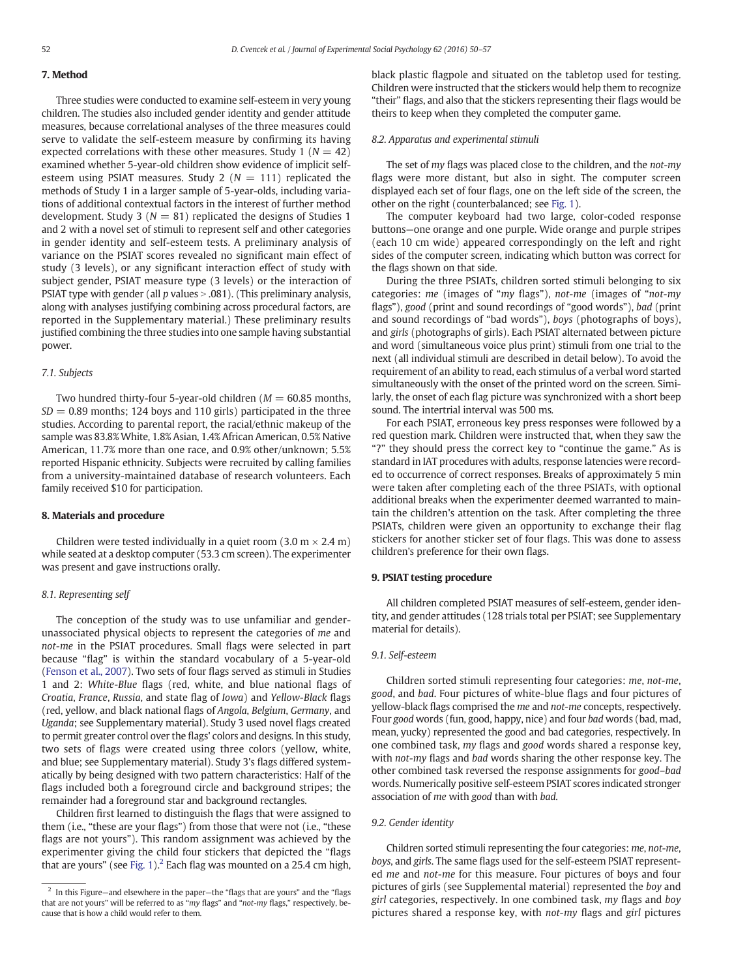#### 7. Method

Three studies were conducted to examine self-esteem in very young children. The studies also included gender identity and gender attitude measures, because correlational analyses of the three measures could serve to validate the self-esteem measure by confirming its having expected correlations with these other measures. Study 1 ( $N = 42$ ) examined whether 5-year-old children show evidence of implicit selfesteem using PSIAT measures. Study 2 ( $N = 111$ ) replicated the methods of Study 1 in a larger sample of 5-year-olds, including variations of additional contextual factors in the interest of further method development. Study 3 ( $N = 81$ ) replicated the designs of Studies 1 and 2 with a novel set of stimuli to represent self and other categories in gender identity and self-esteem tests. A preliminary analysis of variance on the PSIAT scores revealed no significant main effect of study (3 levels), or any significant interaction effect of study with subject gender, PSIAT measure type (3 levels) or the interaction of PSIAT type with gender (all  $p$  values  $> .081$ ). (This preliminary analysis, along with analyses justifying combining across procedural factors, are reported in the Supplementary material.) These preliminary results justified combining the three studies into one sample having substantial power.

#### 7.1. Subjects

Two hundred thirty-four 5-year-old children  $(M = 60.85$  months,  $SD = 0.89$  months; 124 boys and 110 girls) participated in the three studies. According to parental report, the racial/ethnic makeup of the sample was 83.8% White, 1.8% Asian, 1.4% African American, 0.5% Native American, 11.7% more than one race, and 0.9% other/unknown; 5.5% reported Hispanic ethnicity. Subjects were recruited by calling families from a university-maintained database of research volunteers. Each family received \$10 for participation.

#### 8. Materials and procedure

Children were tested individually in a quiet room  $(3.0 \text{ m} \times 2.4 \text{ m})$ while seated at a desktop computer (53.3 cm screen). The experimenter was present and gave instructions orally.

#### 8.1. Representing self

The conception of the study was to use unfamiliar and genderunassociated physical objects to represent the categories of me and not-me in the PSIAT procedures. Small flags were selected in part because "flag" is within the standard vocabulary of a 5-year-old [\(Fenson et al., 2007](#page-6-0)). Two sets of four flags served as stimuli in Studies 1 and 2: White-Blue flags (red, white, and blue national flags of Croatia, France, Russia, and state flag of Iowa) and Yellow-Black flags (red, yellow, and black national flags of Angola, Belgium, Germany, and Uganda; see Supplementary material). Study 3 used novel flags created to permit greater control over the flags' colors and designs. In this study, two sets of flags were created using three colors (yellow, white, and blue; see Supplementary material). Study 3's flags differed systematically by being designed with two pattern characteristics: Half of the flags included both a foreground circle and background stripes; the remainder had a foreground star and background rectangles.

Children first learned to distinguish the flags that were assigned to them (i.e., "these are your flags") from those that were not (i.e., "these flags are not yours"). This random assignment was achieved by the experimenter giving the child four stickers that depicted the "flags that are yours" (see [Fig. 1](#page-3-0)).<sup>2</sup> Each flag was mounted on a 25.4 cm high, black plastic flagpole and situated on the tabletop used for testing. Children were instructed that the stickers would help them to recognize "their" flags, and also that the stickers representing their flags would be theirs to keep when they completed the computer game.

#### 8.2. Apparatus and experimental stimuli

The set of my flags was placed close to the children, and the not-my flags were more distant, but also in sight. The computer screen displayed each set of four flags, one on the left side of the screen, the other on the right (counterbalanced; see [Fig. 1](#page-3-0)).

The computer keyboard had two large, color-coded response buttons—one orange and one purple. Wide orange and purple stripes (each 10 cm wide) appeared correspondingly on the left and right sides of the computer screen, indicating which button was correct for the flags shown on that side.

During the three PSIATs, children sorted stimuli belonging to six categories: me (images of "my flags"), not-me (images of "not-my flags"), good (print and sound recordings of "good words"), bad (print and sound recordings of "bad words"), boys (photographs of boys), and girls (photographs of girls). Each PSIAT alternated between picture and word (simultaneous voice plus print) stimuli from one trial to the next (all individual stimuli are described in detail below). To avoid the requirement of an ability to read, each stimulus of a verbal word started simultaneously with the onset of the printed word on the screen. Similarly, the onset of each flag picture was synchronized with a short beep sound. The intertrial interval was 500 ms.

For each PSIAT, erroneous key press responses were followed by a red question mark. Children were instructed that, when they saw the "?" they should press the correct key to "continue the game." As is standard in IAT procedures with adults, response latencies were recorded to occurrence of correct responses. Breaks of approximately 5 min were taken after completing each of the three PSIATs, with optional additional breaks when the experimenter deemed warranted to maintain the children's attention on the task. After completing the three PSIATs, children were given an opportunity to exchange their flag stickers for another sticker set of four flags. This was done to assess children's preference for their own flags.

#### 9. PSIAT testing procedure

All children completed PSIAT measures of self-esteem, gender identity, and gender attitudes (128 trials total per PSIAT; see Supplementary material for details).

#### 9.1. Self-esteem

Children sorted stimuli representing four categories: me, not-me, good, and bad. Four pictures of white-blue flags and four pictures of yellow-black flags comprised the me and not-me concepts, respectively. Four good words (fun, good, happy, nice) and four bad words (bad, mad, mean, yucky) represented the good and bad categories, respectively. In one combined task, my flags and good words shared a response key, with not-my flags and bad words sharing the other response key. The other combined task reversed the response assignments for good–bad words. Numerically positive self-esteem PSIAT scores indicated stronger association of me with good than with bad.

#### 9.2. Gender identity

Children sorted stimuli representing the four categories: me, not-me, boys, and girls. The same flags used for the self-esteem PSIAT represented me and not-me for this measure. Four pictures of boys and four pictures of girls (see Supplemental material) represented the boy and girl categories, respectively. In one combined task,  $m\gamma$  flags and boy pictures shared a response key, with not-my flags and girl pictures

 $2$  In this Figure—and elsewhere in the paper—the "flags that are yours" and the "flags that are not yours" will be referred to as "my flags" and "not-my flags," respectively, because that is how a child would refer to them.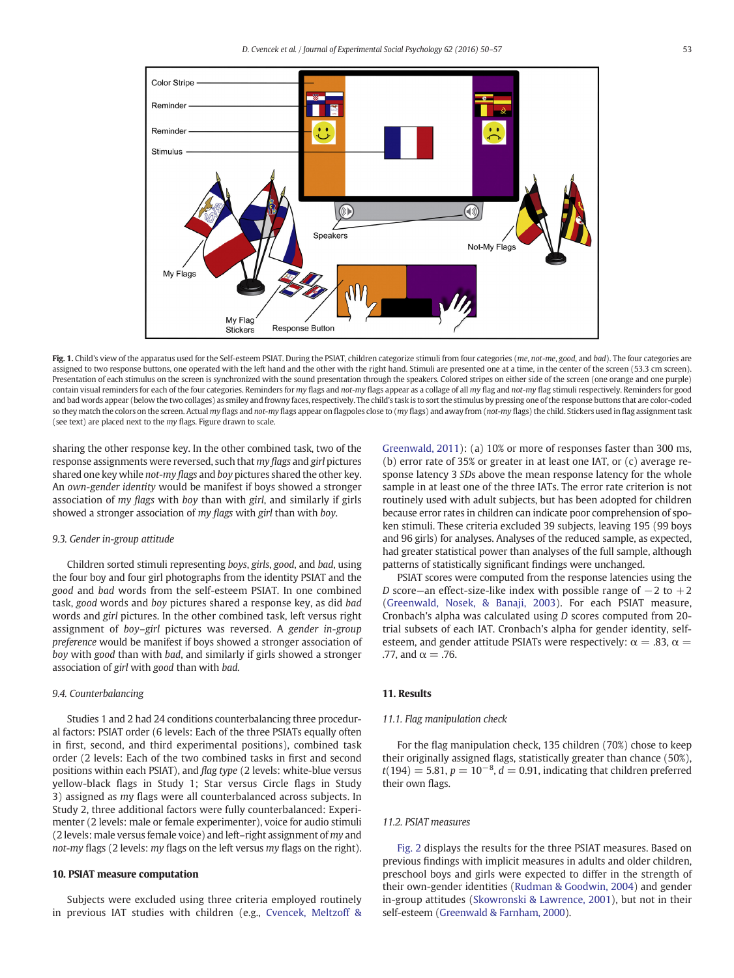<span id="page-3-0"></span>

Fig. 1. Child's view of the apparatus used for the Self-esteem PSIAT. During the PSIAT, children categorize stimuli from four categories (me, not-me, good, and bad). The four categories are assigned to two response buttons, one operated with the left hand and the other with the right hand. Stimuli are presented one at a time, in the center of the screen (53.3 cm screen). Presentation of each stimulus on the screen is synchronized with the sound presentation through the speakers. Colored stripes on either side of the screen (one orange and one purple) contain visual reminders for each of the four categories. Reminders for my flags and not-my flags appear as a collage of all my flag and not-my flag stimuli respectively. Reminders for good and bad words appear (below the two collages) as smiley and frowny faces, respectively. The child's task is to sort the stimulus by pressing one of the response buttons that are color-coded so they match the colors on the screen. Actual my flags and not-my flags appear on flagpoles close to (my flags) and away from (not-my flags) the child. Stickers used in flag assignment task (see text) are placed next to the my flags. Figure drawn to scale.

sharing the other response key. In the other combined task, two of the response assignments were reversed, such that my flags and girl pictures shared one key while not-my flags and boy pictures shared the other key. An own-gender identity would be manifest if boys showed a stronger association of my flags with boy than with girl, and similarly if girls showed a stronger association of my flags with girl than with boy.

#### 9.3. Gender in-group attitude

Children sorted stimuli representing boys, girls, good, and bad, using the four boy and four girl photographs from the identity PSIAT and the good and bad words from the self-esteem PSIAT. In one combined task, good words and boy pictures shared a response key, as did bad words and girl pictures. In the other combined task, left versus right assignment of boy–girl pictures was reversed. A gender in-group preference would be manifest if boys showed a stronger association of boy with good than with bad, and similarly if girls showed a stronger association of girl with good than with bad.

#### 9.4. Counterbalancing

Studies 1 and 2 had 24 conditions counterbalancing three procedural factors: PSIAT order (6 levels: Each of the three PSIATs equally often in first, second, and third experimental positions), combined task order (2 levels: Each of the two combined tasks in first and second positions within each PSIAT), and flag type (2 levels: white-blue versus yellow-black flags in Study 1; Star versus Circle flags in Study 3) assigned as my flags were all counterbalanced across subjects. In Study 2, three additional factors were fully counterbalanced: Experimenter (2 levels: male or female experimenter), voice for audio stimuli (2 levels: male versus female voice) and left–right assignment of my and not-my flags (2 levels: my flags on the left versus my flags on the right).

#### 10. PSIAT measure computation

Subjects were excluded using three criteria employed routinely in previous IAT studies with children (e.g., [Cvencek, Meltzoff &](#page-6-0) [Greenwald, 2011](#page-6-0)): (a) 10% or more of responses faster than 300 ms, (b) error rate of 35% or greater in at least one IAT, or (c) average response latency 3 SDs above the mean response latency for the whole sample in at least one of the three IATs. The error rate criterion is not routinely used with adult subjects, but has been adopted for children because error rates in children can indicate poor comprehension of spoken stimuli. These criteria excluded 39 subjects, leaving 195 (99 boys and 96 girls) for analyses. Analyses of the reduced sample, as expected, had greater statistical power than analyses of the full sample, although patterns of statistically significant findings were unchanged.

PSIAT scores were computed from the response latencies using the D score—an effect-size-like index with possible range of  $-2$  to  $+2$ [\(Greenwald, Nosek, & Banaji, 2003](#page-6-0)). For each PSIAT measure, Cronbach's alpha was calculated using D scores computed from 20 trial subsets of each IAT. Cronbach's alpha for gender identity, selfesteem, and gender attitude PSIATs were respectively:  $\alpha = .83$ ,  $\alpha =$ .77, and  $\alpha = .76$ .

#### 11. Results

#### 11.1. Flag manipulation check

For the flag manipulation check, 135 children (70%) chose to keep their originally assigned flags, statistically greater than chance (50%),  $t(194) = 5.81, p = 10^{-8}, d = 0.91$ , indicating that children preferred their own flags.

#### 11.2. PSIAT measures

[Fig. 2](#page-4-0) displays the results for the three PSIAT measures. Based on previous findings with implicit measures in adults and older children, preschool boys and girls were expected to differ in the strength of their own-gender identities ([Rudman & Goodwin, 2004](#page-6-0)) and gender in-group attitudes [\(Skowronski & Lawrence, 2001](#page-6-0)), but not in their self-esteem ([Greenwald & Farnham, 2000\)](#page-6-0).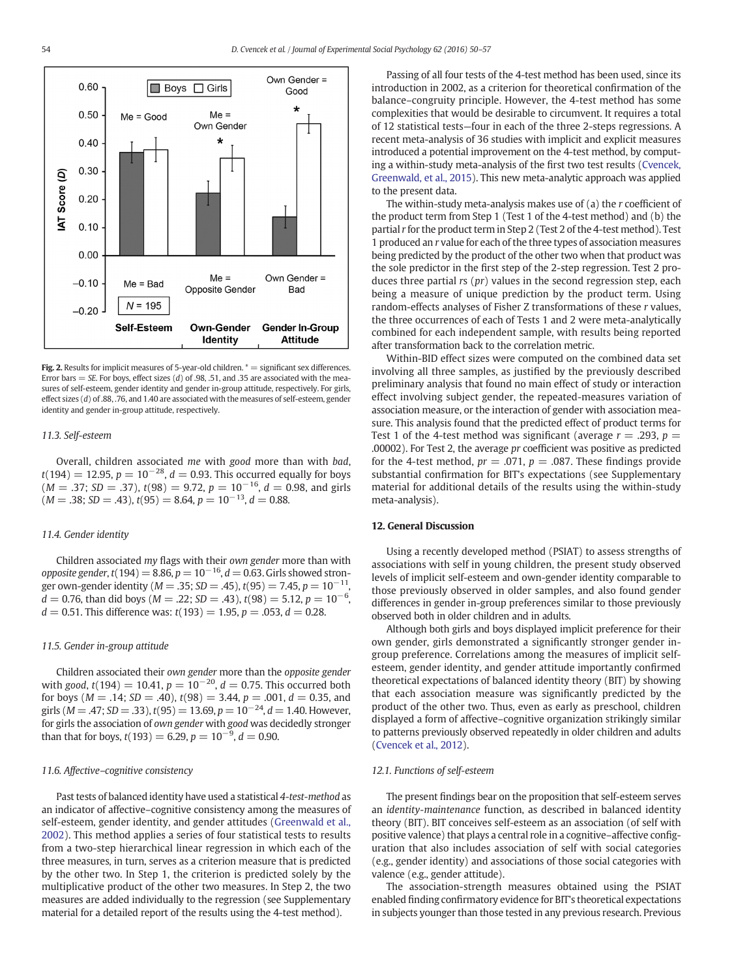<span id="page-4-0"></span>

Fig. 2. Results for implicit measures of 5-year-old children.  $* =$  significant sex differences. Error bars = SE. For boys, effect sizes (d) of .98, .51, and .35 are associated with the measures of self-esteem, gender identity and gender in-group attitude, respectively. For girls, effect sizes  $(d)$  of 88, .76, and 1.40 are associated with the measures of self-esteem, gender identity and gender in-group attitude, respectively.

#### 11.3. Self-esteem

Overall, children associated me with good more than with bad,  $t(194) = 12.95$ ,  $p = 10^{-28}$ ,  $d = 0.93$ . This occurred equally for boys  $(M = .37; SD = .37)$ ,  $t(98) = 9.72$ ,  $p = 10^{-16}$ ,  $d = 0.98$ , and girls  $(M = .38; SD = .43), t(95) = 8.64, p = 10<sup>-13</sup>, d = 0.88.$ 

#### 11.4. Gender identity

Children associated my flags with their own gender more than with opposite gender, t(194) = 8.86,  $p = 10^{-16}$ ,  $d = 0.63$ . Girls showed stronger own-gender identity ( $M = .35$ ; SD = .45),  $t(95) = 7.45$ ,  $p = 10^{-11}$ ,  $d = 0.76$ , than did boys ( $M = .22$ ; SD = .43),  $t(98) = 5.12$ ,  $p = 10^{-6}$ ,  $d = 0.51$ . This difference was:  $t(193) = 1.95$ ,  $p = .053$ ,  $d = 0.28$ .

#### 11.5. Gender in-group attitude

Children associated their own gender more than the opposite gender with good,  $t(194) = 10.41$ ,  $p = 10^{-20}$ ,  $d = 0.75$ . This occurred both for boys ( $M = .14$ ;  $SD = .40$ ),  $t(98) = 3.44$ ,  $p = .001$ ,  $d = 0.35$ , and girls ( $M = .47$ ; SD = .33), t(95) = 13.69, p = 10<sup>-24</sup>, d = 1.40. However, for girls the association of own gender with good was decidedly stronger than that for boys,  $t(193) = 6.29, p = 10^{-9}, d = 0.90$ .

#### 11.6. Affective–cognitive consistency

Past tests of balanced identity have used a statistical 4-test-method as an indicator of affective–cognitive consistency among the measures of self-esteem, gender identity, and gender attitudes ([Greenwald et al.,](#page-6-0) [2002](#page-6-0)). This method applies a series of four statistical tests to results from a two-step hierarchical linear regression in which each of the three measures, in turn, serves as a criterion measure that is predicted by the other two. In Step 1, the criterion is predicted solely by the multiplicative product of the other two measures. In Step 2, the two measures are added individually to the regression (see Supplementary material for a detailed report of the results using the 4-test method).

Passing of all four tests of the 4-test method has been used, since its introduction in 2002, as a criterion for theoretical confirmation of the balance–congruity principle. However, the 4-test method has some complexities that would be desirable to circumvent. It requires a total of 12 statistical tests—four in each of the three 2-steps regressions. A recent meta-analysis of 36 studies with implicit and explicit measures introduced a potential improvement on the 4-test method, by computing a within-study meta-analysis of the first two test results [\(Cvencek,](#page-6-0) [Greenwald, et al., 2015\)](#page-6-0). This new meta-analytic approach was applied to the present data.

The within-study meta-analysis makes use of (a) the r coefficient of the product term from Step 1 (Test 1 of the 4-test method) and (b) the partial r for the product term in Step 2 (Test 2 of the 4-test method). Test 1 produced an r value for each of the three types of association measures being predicted by the product of the other two when that product was the sole predictor in the first step of the 2-step regression. Test 2 produces three partial  $rs$  ( $pr$ ) values in the second regression step, each being a measure of unique prediction by the product term. Using random-effects analyses of Fisher Z transformations of these r values, the three occurrences of each of Tests 1 and 2 were meta-analytically combined for each independent sample, with results being reported after transformation back to the correlation metric.

Within-BID effect sizes were computed on the combined data set involving all three samples, as justified by the previously described preliminary analysis that found no main effect of study or interaction effect involving subject gender, the repeated-measures variation of association measure, or the interaction of gender with association measure. This analysis found that the predicted effect of product terms for Test 1 of the 4-test method was significant (average  $r = .293$ ,  $p =$ .00002). For Test 2, the average pr coefficient was positive as predicted for the 4-test method,  $pr = .071$ ,  $p = .087$ . These findings provide substantial confirmation for BIT's expectations (see Supplementary material for additional details of the results using the within-study meta-analysis).

#### 12. General Discussion

Using a recently developed method (PSIAT) to assess strengths of associations with self in young children, the present study observed levels of implicit self-esteem and own-gender identity comparable to those previously observed in older samples, and also found gender differences in gender in-group preferences similar to those previously observed both in older children and in adults.

Although both girls and boys displayed implicit preference for their own gender, girls demonstrated a significantly stronger gender ingroup preference. Correlations among the measures of implicit selfesteem, gender identity, and gender attitude importantly confirmed theoretical expectations of balanced identity theory (BIT) by showing that each association measure was significantly predicted by the product of the other two. Thus, even as early as preschool, children displayed a form of affective–cognitive organization strikingly similar to patterns previously observed repeatedly in older children and adults [\(Cvencek et al., 2012](#page-6-0)).

#### 12.1. Functions of self-esteem

The present findings bear on the proposition that self-esteem serves an identity-maintenance function, as described in balanced identity theory (BIT). BIT conceives self-esteem as an association (of self with positive valence) that plays a central role in a cognitive–affective configuration that also includes association of self with social categories (e.g., gender identity) and associations of those social categories with valence (e.g., gender attitude).

The association-strength measures obtained using the PSIAT enabled finding confirmatory evidence for BIT's theoretical expectations in subjects younger than those tested in any previous research. Previous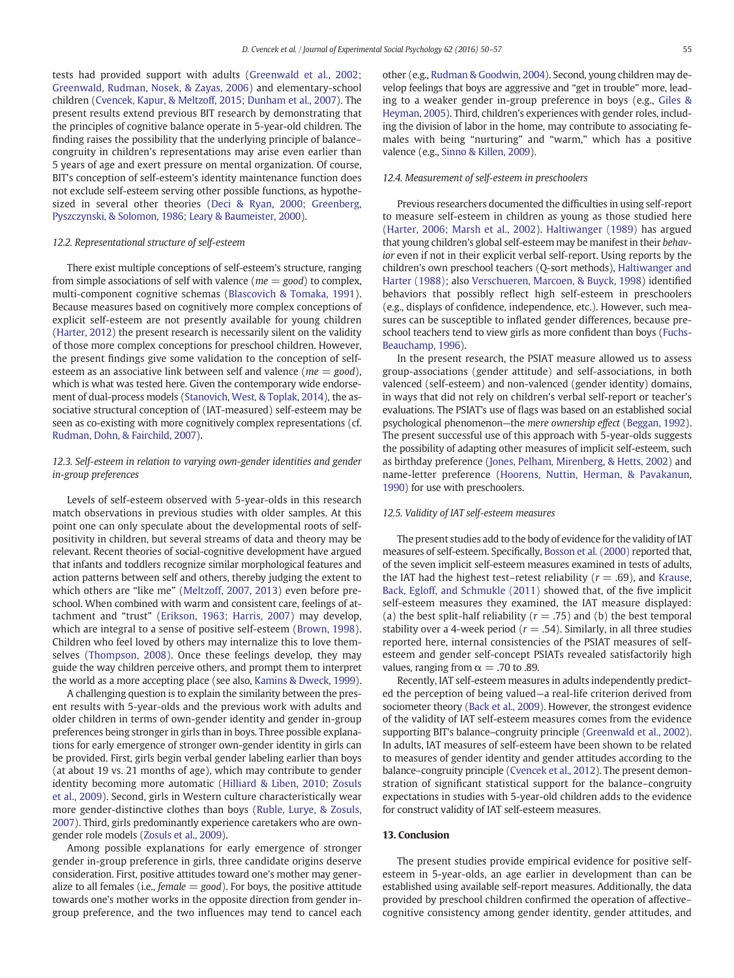tests had provided support with adults ([Greenwald et al., 2002;](#page-6-0) [Greenwald, Rudman, Nosek, & Zayas, 2006](#page-6-0)) and elementary-school children ([Cvencek, Kapur, & Meltzoff, 2015; Dunham et al., 2007\)](#page-6-0). The present results extend previous BIT research by demonstrating that the principles of cognitive balance operate in 5-year-old children. The finding raises the possibility that the underlying principle of balance– congruity in children's representations may arise even earlier than 5 years of age and exert pressure on mental organization. Of course, BIT's conception of self-esteem's identity maintenance function does not exclude self-esteem serving other possible functions, as hypothesized in several other theories [\(Deci & Ryan, 2000; Greenberg,](#page-6-0) [Pyszczynski, & Solomon, 1986; Leary & Baumeister, 2000](#page-6-0)).

#### 12.2. Representational structure of self-esteem

There exist multiple conceptions of self-esteem's structure, ranging from simple associations of self with valence ( $me = good$ ) to complex, multi-component cognitive schemas ([Blascovich & Tomaka, 1991](#page-6-0)). Because measures based on cognitively more complex conceptions of explicit self-esteem are not presently available for young children [\(Harter, 2012\)](#page-6-0) the present research is necessarily silent on the validity of those more complex conceptions for preschool children. However, the present findings give some validation to the conception of selfesteem as an associative link between self and valence ( $me = good$ ), which is what was tested here. Given the contemporary wide endorsement of dual-process models [\(Stanovich, West, & Toplak, 2014\)](#page-6-0), the associative structural conception of (IAT-measured) self-esteem may be seen as co-existing with more cognitively complex representations (cf. [Rudman, Dohn, & Fairchild, 2007](#page-6-0)).

#### 12.3. Self-esteem in relation to varying own-gender identities and gender in-group preferences

Levels of self-esteem observed with 5-year-olds in this research match observations in previous studies with older samples. At this point one can only speculate about the developmental roots of selfpositivity in children, but several streams of data and theory may be relevant. Recent theories of social-cognitive development have argued that infants and toddlers recognize similar morphological features and action patterns between self and others, thereby judging the extent to which others are "like me" ([Meltzoff, 2007, 2013\)](#page-6-0) even before preschool. When combined with warm and consistent care, feelings of attachment and "trust" ([Erikson, 1963; Harris, 2007\)](#page-6-0) may develop, which are integral to a sense of positive self-esteem [\(Brown, 1998](#page-6-0)). Children who feel loved by others may internalize this to love themselves [\(Thompson, 2008](#page-7-0)). Once these feelings develop, they may guide the way children perceive others, and prompt them to interpret the world as a more accepting place (see also, [Kamins & Dweck, 1999](#page-6-0)).

A challenging question is to explain the similarity between the present results with 5-year-olds and the previous work with adults and older children in terms of own-gender identity and gender in-group preferences being stronger in girls than in boys. Three possible explanations for early emergence of stronger own-gender identity in girls can be provided. First, girls begin verbal gender labeling earlier than boys (at about 19 vs. 21 months of age), which may contribute to gender identity becoming more automatic ([Hilliard & Liben, 2010; Zosuls](#page-6-0) [et al., 2009\)](#page-6-0). Second, girls in Western culture characteristically wear more gender-distinctive clothes than boys [\(Ruble, Lurye, & Zosuls,](#page-6-0) [2007](#page-6-0)). Third, girls predominantly experience caretakers who are owngender role models ([Zosuls et al., 2009\)](#page-7-0).

Among possible explanations for early emergence of stronger gender in-group preference in girls, three candidate origins deserve consideration. First, positive attitudes toward one's mother may generalize to all females (i.e.,  $female = good$ ). For boys, the positive attitude towards one's mother works in the opposite direction from gender ingroup preference, and the two influences may tend to cancel each

other (e.g., [Rudman & Goodwin, 2004](#page-6-0)). Second, young children may develop feelings that boys are aggressive and "get in trouble" more, leading to a weaker gender in-group preference in boys (e.g., [Giles &](#page-6-0) [Heyman, 2005\)](#page-6-0). Third, children's experiences with gender roles, including the division of labor in the home, may contribute to associating females with being "nurturing" and "warm," which has a positive valence (e.g., [Sinno & Killen, 2009](#page-6-0)).

#### 12.4. Measurement of self-esteem in preschoolers

Previous researchers documented the difficulties in using self-report to measure self-esteem in children as young as those studied here [\(Harter, 2006; Marsh et al., 2002](#page-6-0)). [Haltiwanger \(1989\)](#page-6-0) has argued that young children's global self-esteem may be manifest in their behavior even if not in their explicit verbal self-report. Using reports by the children's own preschool teachers (Q-sort methods), [Haltiwanger and](#page-6-0) [Harter \(1988\);](#page-6-0) also [Verschueren, Marcoen, & Buyck, 1998\)](#page-7-0) identified behaviors that possibly reflect high self-esteem in preschoolers (e.g., displays of confidence, independence, etc.). However, such measures can be susceptible to inflated gender differences, because preschool teachers tend to view girls as more confident than boys [\(Fuchs-](#page-6-0)[Beauchamp, 1996](#page-6-0)).

In the present research, the PSIAT measure allowed us to assess group-associations (gender attitude) and self-associations, in both valenced (self-esteem) and non-valenced (gender identity) domains, in ways that did not rely on children's verbal self-report or teacher's evaluations. The PSIAT's use of flags was based on an established social psychological phenomenon—the mere ownership effect ([Beggan, 1992](#page-6-0)). The present successful use of this approach with 5-year-olds suggests the possibility of adapting other measures of implicit self-esteem, such as birthday preference [\(Jones, Pelham, Mirenberg, & Hetts, 2002](#page-6-0)) and name-letter preference [\(Hoorens, Nuttin, Herman, & Pavakanun,](#page-6-0) [1990](#page-6-0)) for use with preschoolers.

#### 12.5. Validity of IAT self-esteem measures

The present studies add to the body of evidence for the validity of IAT measures of self-esteem. Specifically, [Bosson et al. \(2000\)](#page-6-0) reported that, of the seven implicit self-esteem measures examined in tests of adults, the IAT had the highest test–retest reliability ( $r = .69$ ), and [Krause,](#page-6-0) [Back, Egloff, and Schmukle \(2011\)](#page-6-0) showed that, of the five implicit self-esteem measures they examined, the IAT measure displayed: (a) the best split-half reliability ( $r = .75$ ) and (b) the best temporal stability over a 4-week period ( $r = .54$ ). Similarly, in all three studies reported here, internal consistencies of the PSIAT measures of selfesteem and gender self-concept PSIATs revealed satisfactorily high values, ranging from  $\alpha = .70$  to .89.

Recently, IAT self-esteem measures in adults independently predicted the perception of being valued—a real-life criterion derived from sociometer theory ([Back et al., 2009\)](#page-6-0). However, the strongest evidence of the validity of IAT self-esteem measures comes from the evidence supporting BIT's balance–congruity principle ([Greenwald et al., 2002](#page-6-0)). In adults, IAT measures of self-esteem have been shown to be related to measures of gender identity and gender attitudes according to the balance–congruity principle [\(Cvencek et al., 2012](#page-6-0)). The present demonstration of significant statistical support for the balance–congruity expectations in studies with 5-year-old children adds to the evidence for construct validity of IAT self-esteem measures.

#### 13. Conclusion

The present studies provide empirical evidence for positive selfesteem in 5-year-olds, an age earlier in development than can be established using available self-report measures. Additionally, the data provided by preschool children confirmed the operation of affective– cognitive consistency among gender identity, gender attitudes, and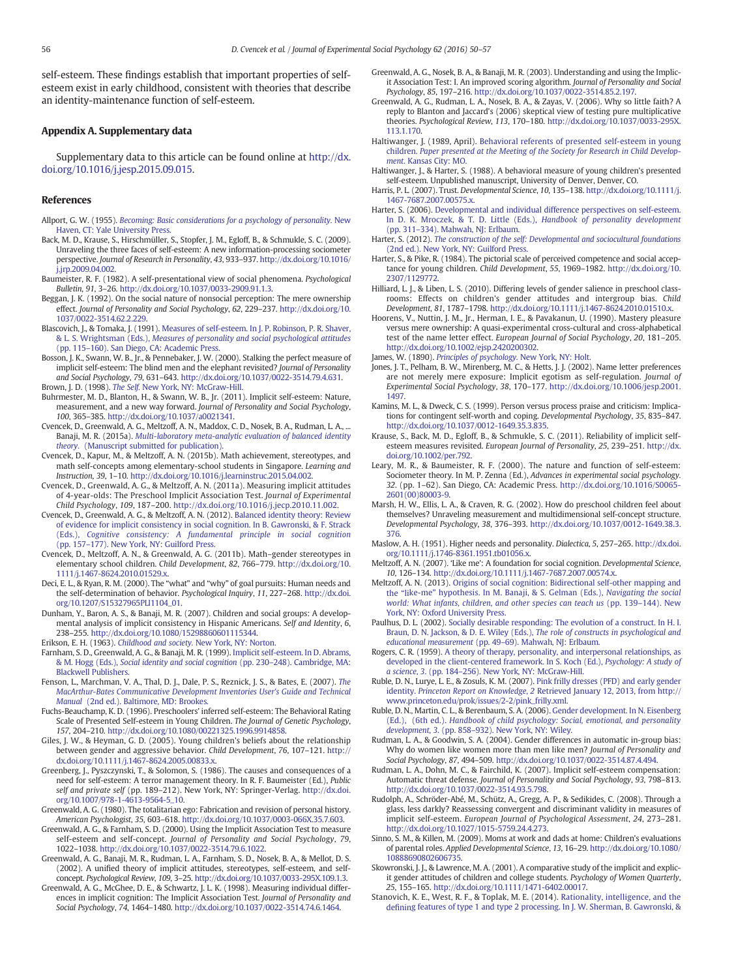<span id="page-6-0"></span>self-esteem. These findings establish that important properties of selfesteem exist in early childhood, consistent with theories that describe an identity-maintenance function of self-esteem.

#### Appendix A. Supplementary data

Supplementary data to this article can be found online at [http://dx.](http://dx.doi.org/10.1016/j.jesp.2015.09.015) [doi.org/10.1016/j.jesp.2015.09.015](http://dx.doi.org/10.1016/j.jesp.2015.09.015).

#### References

- Allport, G. W. (1955). [Becoming: Basic considerations for a psychology of personality.](http://refhub.elsevier.com/S0022-1031(15)00125-0/rf0005) New [Haven, CT: Yale University Press.](http://refhub.elsevier.com/S0022-1031(15)00125-0/rf0005)
- Back, M. D., Krause, S., Hirschmüller, S., Stopfer, J. M., Egloff, B., & Schmukle, S. C. (2009). Unraveling the three faces of self-esteem: A new information-processing sociometer perspective. Journal of Research in Personality, 43, 933–937. http://dx.doi.org/[10.1016/](http://dx.doi.org/10.1016/j.jrp.2009.04.002) [j.jrp.2009.04.002.](http://dx.doi.org/10.1016/j.jrp.2009.04.002)
- Baumeister, R. F. (1982). A self-presentational view of social phenomena. Psychological Bulletin, 91, 3–26. http://dx.doi.org[/10.1037/0033-2909.91.1.3](http://dx.doi.org/10.1037/0033-2909.91.1.3).
- Beggan, J. K. (1992). On the social nature of nonsocial perception: The mere ownership effect. Journal of Personality and Social Psychology, 62, 229–237. http://dx.doi.org[/10.](http://dx.doi.org/10.1037/0022-3514.62.2.229) [1037/0022-3514.62.2.229](http://dx.doi.org/10.1037/0022-3514.62.2.229).
- Blascovich, J., & Tomaka, J. (1991). [Measures of self-esteem. In J. P. Robinson, P. R. Shaver,](http://refhub.elsevier.com/S0022-1031(15)00125-0/rf0025) & L. S. Wrightsman (Eds.), [Measures of personality and social psychological attitudes](http://refhub.elsevier.com/S0022-1031(15)00125-0/rf0025) (pp. 115–[160\). San Diego, CA: Academic Press.](http://refhub.elsevier.com/S0022-1031(15)00125-0/rf0025)
- Bosson, J. K., Swann, W. B., Jr., & Pennebaker, J. W. (2000). Stalking the perfect measure of implicit self-esteem: The blind men and the elephant revisited? Journal of Personality and Social Psychology, 79, 631–643. http://dx.doi.org/[10.1037/0022-3514.79.4.631.](http://dx.doi.org/10.1037/0022-3514.79.4.631) Brown, J. D. (1998). The Self. [New York, NY: McGraw-Hill.](http://refhub.elsevier.com/S0022-1031(15)00125-0/rf0035)
- Buhrmester, M. D., Blanton, H., & Swann, W. B., Jr. (2011). Implicit self-esteem: Nature, measurement, and a new way forward. Journal of Personality and Social Psychology, 100, 365–385. http://dx.doi.org[/10.1037/a0021341](http://dx.doi.org/10.1037/a0021341).
- Cvencek, D., Greenwald, A. G., Meltzoff, A. N., Maddox, C. D., Nosek, B. A., Rudman, L. A., ... Banaji, M. R. (2015a). [Multi-laboratory meta-analytic evaluation of balanced identity](http://refhub.elsevier.com/S0022-1031(15)00125-0/rf0045) theory. [\(Manuscript submitted for publication\).](http://refhub.elsevier.com/S0022-1031(15)00125-0/rf0045)
- Cvencek, D., Kapur, M., & Meltzoff, A. N. (2015b). Math achievement, stereotypes, and math self-concepts among elementary-school students in Singapore. Learning and Instruction, 39, 1–10. http://dx.doi.org/[10.1016/j.learninstruc.2015.04.002.](http://dx.doi.org/10.1016/j.learninstruc.2015.04.002)
- Cvencek, D., Greenwald, A. G., & Meltzoff, A. N. (2011a). Measuring implicit attitudes of 4-year-olds: The Preschool Implicit Association Test. Journal of Experimental Child Psychology, 109, 187–200. http://dx.doi.org/[10.1016/j.jecp.2010.11.002.](http://dx.doi.org/10.1016/j.jecp.2010.11.002)
- Cvencek, D., Greenwald, A. G., & Meltzoff, A. N. (2012). [Balanced identity theory: Review](http://refhub.elsevier.com/S0022-1031(15)00125-0/rf0060) [of evidence for implicit consistency in social cognition. In B. Gawronski, & F. Strack](http://refhub.elsevier.com/S0022-1031(15)00125-0/rf0060) (Eds.), [Cognitive consistency: A fundamental principle in social cognition](http://refhub.elsevier.com/S0022-1031(15)00125-0/rf0060) (pp. 157–[177\). New York, NY: Guilford Press.](http://refhub.elsevier.com/S0022-1031(15)00125-0/rf0060)
- Cvencek, D., Meltzoff, A. N., & Greenwald, A. G. (2011b). Math–gender stereotypes in elementary school children. Child Development, 82, 766–779. http://dx.doi.org/[10.](http://dx.doi.org/10.1111/j.1467-8624.2010.01529.x) [1111/j.1467-8624.2010.01529.x.](http://dx.doi.org/10.1111/j.1467-8624.2010.01529.x)
- Deci, E. L., & Ryan, R. M. (2000). The "what" and "why" of goal pursuits: Human needs and the self-determination of behavior. Psychological Inquiry, 11, 227–268. http://dx.doi. org[/10.1207/S15327965PLI1104\\_01.](http://dx.doi.org/10.1207/S15327965PLI1104_01)
- Dunham, Y., Baron, A. S., & Banaji, M. R. (2007). Children and social groups: A developmental analysis of implicit consistency in Hispanic Americans. Self and Identity, 6, 238–255. http://dx.doi.org/[10.1080/15298860601115344](http://dx.doi.org/10.1080/15298860601115344).
- Erikson, E. H. (1963). Childhood and society. [New York, NY: Norton.](http://refhub.elsevier.com/S0022-1031(15)00125-0/rf0080)
- Farnham, S. D., Greenwald, A. G., & Banaji, M. R. (1999). [Implicit self-esteem. In D. Abrams,](http://refhub.elsevier.com/S0022-1031(15)00125-0/rf0085) & M. Hogg (Eds.), [Social identity and social cognition](http://refhub.elsevier.com/S0022-1031(15)00125-0/rf0085) (pp. 230–248). Cambridge, MA: [Blackwell Publishers.](http://refhub.elsevier.com/S0022-1031(15)00125-0/rf0085)
- Fenson, L., Marchman, V. A., Thal, D. J., Dale, P. S., Reznick, J. S., & Bates, E. (2007). [The](http://refhub.elsevier.com/S0022-1031(15)00125-0/rf0090) [MacArthur-Bates Communicative Development Inventories User's Guide and Technical](http://refhub.elsevier.com/S0022-1031(15)00125-0/rf0090) Manual [\(2nd ed.\). Baltimore, MD: Brookes.](http://refhub.elsevier.com/S0022-1031(15)00125-0/rf0090)
- Fuchs-Beauchamp, K. D. (1996). Preschoolers' inferred self-esteem: The Behavioral Rating Scale of Presented Self-esteem in Young Children. The Journal of Genetic Psychology, 157, 204–210. http://dx.doi.org[/10.1080/00221325.1996.9914858](http://dx.doi.org/10.1080/00221325.1996.9914858).
- Giles, J. W., & Heyman, G. D. (2005). Young children's beliefs about the relationship between gender and aggressive behavior. Child Development, 76, 107–121. http:// dx.doi.org[/10.1111/j.1467-8624.2005.00833.x.](http://dx.doi.org/10.1111/j.1467-8624.2005.00833.x)
- Greenberg, J., Pyszczynski, T., & Solomon, S. (1986). The causes and consequences of a need for self-esteem: A terror management theory. In R. F. Baumeister (Ed.), Public self and private self (pp. 189–212). New York, NY: Springer-Verlag. http://dx.doi. org[/10.1007/978-1-4613-9564-5\\_10.](http://dx.doi.org/10.1007/978-1-4613-9564-5_10)
- Greenwald, A. G. (1980). The totalitarian ego: Fabrication and revision of personal history. American Psychologist, 35, 603–618. http://dx.doi.org/[10.1037/0003-066X.35.7.603](http://dx.doi.org/10.1037/0003-066X.35.7.603).
- Greenwald, A. G., & Farnham, S. D. (2000). Using the Implicit Association Test to measure self-esteem and self-concept. Journal of Personality and Social Psychology, 79, 1022–1038. http://dx.doi.org/[10.1037/0022-3514.79.6.1022.](http://dx.doi.org/10.1037/0022-3514.79.6.1022)
- Greenwald, A. G., Banaji, M. R., Rudman, L. A., Farnham, S. D., Nosek, B. A., & Mellot, D. S. (2002). A unified theory of implicit attitudes, stereotypes, self-esteem, and selfconcept. Psychological Review, 109, 3–25. http://dx.doi.org[/10.1037/0033-295X.109.1.3.](http://dx.doi.org/10.1037/0033-295X.109.1.3)
- Greenwald, A. G., McGhee, D. E., & Schwartz, J. L. K. (1998). Measuring individual differences in implicit cognition: The Implicit Association Test. Journal of Personality and Social Psychology, 74, 1464–1480. http://dx.doi.org/[10.1037/0022-3514.74.6.1464](http://dx.doi.org/10.1037/0022-3514.74.6.1464).
- Greenwald, A. G., Nosek, B. A., & Banaji, M. R. (2003). Understanding and using the Implicit Association Test: I. An improved scoring algorithm. Journal of Personality and Social Psychology, 85, 197–216. http://dx.doi.org/[10.1037/0022-3514.85.2.197](http://dx.doi.org/10.1037/0022-3514.85.2.197).
- Greenwald, A. G., Rudman, L. A., Nosek, B. A., & Zayas, V. (2006). Why so little faith? A reply to Blanton and Jaccard's (2006) skeptical view of testing pure multiplicative theories. Psychological Review, 113, 170–180. http://dx.doi.org[/10.1037/0033-295X.](http://dx.doi.org/10.1037/0033-295X.113.1.170) [113.1.170](http://dx.doi.org/10.1037/0033-295X.113.1.170).
- Haltiwanger, J. (1989, April). [Behavioral referents of presented self-esteem in young](http://refhub.elsevier.com/S0022-1031(15)00125-0/rf0140) children. [Paper presented at the Meeting of the Society for Research in Child Develop-](http://refhub.elsevier.com/S0022-1031(15)00125-0/rf0140)ment[. Kansas City: MO.](http://refhub.elsevier.com/S0022-1031(15)00125-0/rf0140)
- Haltiwanger, J., & Harter, S. (1988). A behavioral measure of young children's presented self-esteem. Unpublished manuscript, University of Denver, Denver, CO.
- Harris, P. L. (2007). Trust. Developmental Science, 10, 135–138. http://dx.doi.org/[10.1111/j.](http://dx.doi.org/10.1111/j.1467-7687.2007.00575.x) [1467-7687.2007.00575.x](http://dx.doi.org/10.1111/j.1467-7687.2007.00575.x).
- Harter, S. (2006). [Developmental and individual difference perspectives on self-esteem.](http://refhub.elsevier.com/S0022-1031(15)00125-0/rf0150) [In D. K. Mroczek, & T. D. Little \(Eds.\),](http://refhub.elsevier.com/S0022-1031(15)00125-0/rf0150) Handbook of personality development (pp. 311–[334\). Mahwah, NJ: Erlbaum.](http://refhub.elsevier.com/S0022-1031(15)00125-0/rf0150)
- Harter, S. (2012). [The construction of the self: Developmental and sociocultural foundations](http://refhub.elsevier.com/S0022-1031(15)00125-0/rf0155) [\(2nd ed.\). New York, NY: Guilford Press.](http://refhub.elsevier.com/S0022-1031(15)00125-0/rf0155)
- Harter, S., & Pike, R. (1984). The pictorial scale of perceived competence and social acceptance for young children. Child Development, 55, 1969–1982. http://dx.doi.org/[10.](http://dx.doi.org/10.2307/1129772) [2307/1129772.](http://dx.doi.org/10.2307/1129772)
- Hilliard, L. J., & Liben, L. S. (2010). Differing levels of gender salience in preschool classrooms: Effects on children's gender attitudes and intergroup bias. Child Development, 81, 1787–1798. http://dx.doi.org/[10.1111/j.1467-8624.2010.01510.x](http://dx.doi.org/10.1111/j.1467-8624.2010.01510.x).
- Hoorens, V., Nuttin, J. M., Jr., Herman, I. E., & Pavakanun, U. (1990). Mastery pleasure versus mere ownership: A quasi-experimental cross-cultural and cross-alphabetical test of the name letter effect. European Journal of Social Psychology, 20, 181–205. http://dx.doi.org[/10.1002/ejsp.2420200302.](http://dx.doi.org/10.1002/ejsp.2420200302)
- James, W. (1890). [Principles of psychology.](http://refhub.elsevier.com/S0022-1031(15)00125-0/rf0175) New York, NY: Holt.
- Jones, J. T., Pelham, B. W., Mirenberg, M. C., & Hetts, J. J. (2002). Name letter preferences are not merely mere exposure: Implicit egotism as self-regulation. Journal of Experimental Social Psychology, 38, 170–177. http://dx.doi.org[/10.1006/jesp.2001.](http://dx.doi.org/10.1006/jesp.2001.1497) [1497.](http://dx.doi.org/10.1006/jesp.2001.1497)
- Kamins, M. L., & Dweck, C. S. (1999). Person versus process praise and criticism: Implications for contingent self-worth and coping. Developmental Psychology, 35, 835–847. http://dx.doi.org[/10.1037/0012-1649.35.3.835.](http://dx.doi.org/10.1037/0012-1649.35.3.835)
- Krause, S., Back, M. D., Egloff, B., & Schmukle, S. C. (2011). Reliability of implicit selfesteem measures revisited. European Journal of Personality, 25, 239–251. http://dx. doi.org/[10.1002/per.792.](http://dx.doi.org/10.1002/per.792)
- Leary, M. R., & Baumeister, R. F. (2000). The nature and function of self-esteem: Sociometer theory. In M. P. Zenna (Ed.), Advances in experimental social psychology. 32. (pp. 1–62). San Diego, CA: Academic Press. http://dx.doi.org/[10.1016/S0065-](http://dx.doi.org/10.1016/S0065-2601(00)80003-9) [2601\(00\)80003-9](http://dx.doi.org/10.1016/S0065-2601(00)80003-9).
- Marsh, H. W., Ellis, L. A., & Craven, R. G. (2002). How do preschool children feel about themselves? Unraveling measurement and multidimensional self-concept structure. Developmental Psychology, 38, 376–393. http://dx.doi.org[/10.1037/0012-1649.38.3.](http://dx.doi.org/10.1037/0012-1649.38.3.376) [376](http://dx.doi.org/10.1037/0012-1649.38.3.376).
- Maslow, A. H. (1951). Higher needs and personality. Dialectica, 5, 257–265. http://dx.doi. org[/10.1111/j.1746-8361.1951.tb01056.x.](http://dx.doi.org/10.1111/j.1746-8361.1951.tb01056.x)
- Meltzoff, A. N. (2007). 'Like me': A foundation for social cognition. Developmental Science, 10, 126–134. http://dx.doi.org/[10.1111/j.1467-7687.2007.00574.x](http://dx.doi.org/10.1111/j.1467-7687.2007.00574.x).
- Meltzoff, A. N. (2013). [Origins of social cognition: Bidirectional self-other mapping and](http://refhub.elsevier.com/S0022-1031(15)00125-0/rf0215) the "like-me" [hypothesis. In M. Banaji, & S. Gelman \(Eds.\),](http://refhub.elsevier.com/S0022-1031(15)00125-0/rf0215) Navigating the social [world: What infants, children, and other species can teach us](http://refhub.elsevier.com/S0022-1031(15)00125-0/rf0215) (pp. 139–144). New [York, NY: Oxford University Press.](http://refhub.elsevier.com/S0022-1031(15)00125-0/rf0215)
- Paulhus, D. L. (2002). [Socially desirable responding: The evolution of a construct. In H. I.](http://refhub.elsevier.com/S0022-1031(15)00125-0/rf0220) [Braun, D. N. Jackson, & D. E. Wiley \(Eds.\),](http://refhub.elsevier.com/S0022-1031(15)00125-0/rf0220) The role of constructs in psychological and educational measurement (pp. 49–[69\). Mahwah, NJ: Erlbaum.](http://refhub.elsevier.com/S0022-1031(15)00125-0/rf0220)
- Rogers, C. R. (1959). [A theory of therapy, personality, and interpersonal relationships, as](http://refhub.elsevier.com/S0022-1031(15)00125-0/rf0225) [developed in the client-centered framework. In S. Koch \(Ed.\),](http://refhub.elsevier.com/S0022-1031(15)00125-0/rf0225) Psychology: A study of a science, 3. (pp. 184–[256\). New York, NY: McGraw-Hill.](http://refhub.elsevier.com/S0022-1031(15)00125-0/rf0225)
- Ruble, D. N., Lurye, L. E., & Zosuls, K. M. (2007). [Pink frilly dresses \(PFD\) and early gender](http://refhub.elsevier.com/S0022-1031(15)00125-0/rf0230) identity. Princeton Report on Knowledge, 2 [Retrieved January 12, 2013, from http://](http://refhub.elsevier.com/S0022-1031(15)00125-0/rf0230) [www.princeton.edu/prok/issues/2-2/pink\\_frilly.xml.](http://refhub.elsevier.com/S0022-1031(15)00125-0/rf0230)
- Ruble, D. N., Martin, C. L., & Berenbaum, S. A. (2006). [Gender development. In N. Eisenberg](http://refhub.elsevier.com/S0022-1031(15)00125-0/rf0235) (Ed.), (6th ed.). [Handbook of child psychology: Social, emotional, and personality](http://refhub.elsevier.com/S0022-1031(15)00125-0/rf0235) development, 3. (pp. 858–[932\). New York, NY: Wiley.](http://refhub.elsevier.com/S0022-1031(15)00125-0/rf0235)
- Rudman, L. A., & Goodwin, S. A. (2004). Gender differences in automatic in-group bias: Why do women like women more than men like men? Journal of Personality and Social Psychology, 87, 494–509. http://dx.doi.org[/10.1037/0022-3514.87.4.494.](http://dx.doi.org/10.1037/0022-3514.87.4.494)
- Rudman, L. A., Dohn, M. C., & Fairchild, K. (2007). Implicit self-esteem compensation: Automatic threat defense. Journal of Personality and Social Psychology, 93, 798–813. http://dx.doi.org[/10.1037/0022-3514.93.5.798.](http://dx.doi.org/10.1037/0022-3514.93.5.798)
- Rudolph, A., Schröder-Abé, M., Schütz, A., Gregg, A. P., & Sedikides, C. (2008). Through a glass, less darkly? Reassessing convergent and discriminant validity in measures of implicit self-esteem. European Journal of Psychological Assessment, 24, 273-281. http://dx.doi.org[/10.1027/1015-5759.24.4.273.](http://dx.doi.org/10.1027/1015-5759.24.4.273)
- Sinno, S. M., & Killen, M. (2009). Moms at work and dads at home: Children's evaluations of parental roles. Applied Developmental Science, 13, 16–29. http://dx.doi.org/[10.1080/](http://dx.doi.org/10.1080/10888690802606735) [10888690802606735](http://dx.doi.org/10.1080/10888690802606735).
- Skowronski, J. J., & Lawrence, M. A. (2001). A comparative study of the implicit and explicit gender attitudes of children and college students. Psychology of Women Quarterly, 25, 155–165. http://dx.doi.org/[10.1111/1471-6402.00017.](http://dx.doi.org/10.1111/1471-6402.00017)
- Stanovich, K. E., West, R. F., & Toplak, M. E. (2014). [Rationality, intelligence, and the](http://refhub.elsevier.com/S0022-1031(15)00125-0/rf0265) defi[ning features of type 1 and type 2 processing. In J. W. Sherman, B. Gawronski, &](http://refhub.elsevier.com/S0022-1031(15)00125-0/rf0265)